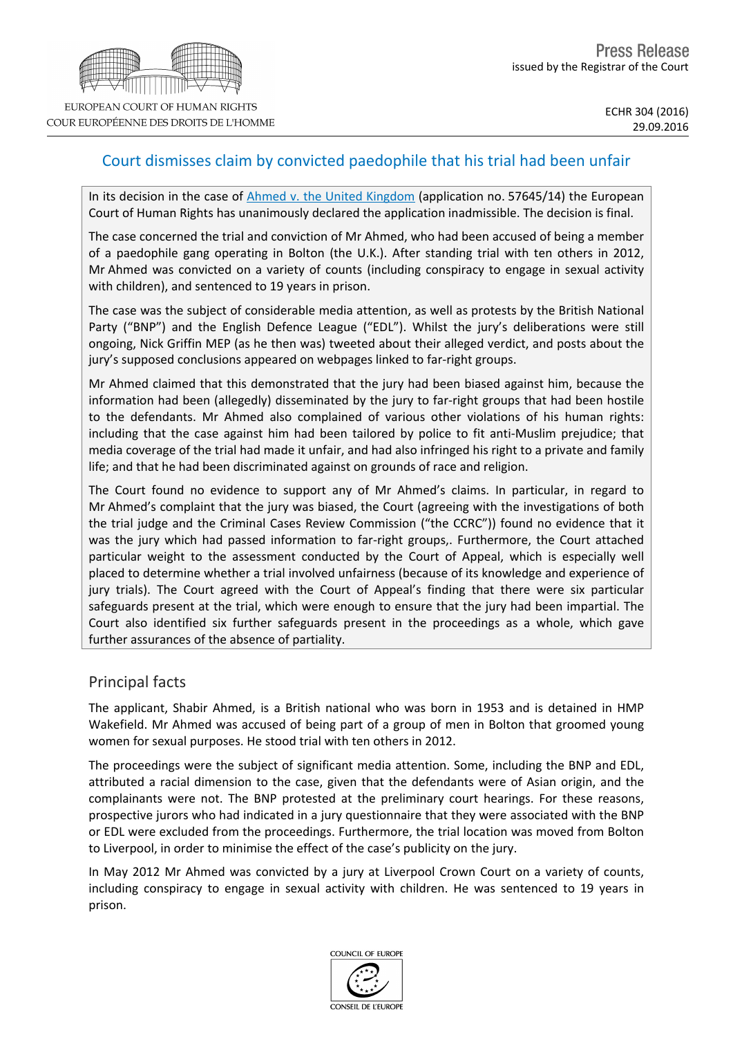# Court dismisses claim by convicted paedophile that his trial had been unfair

In its decision in the case of [Ahmed](http://hudoc.echr.coe.int/eng?i=001-167184) [v.](http://hudoc.echr.coe.int/eng?i=001-167184) [the](http://hudoc.echr.coe.int/eng?i=001-167184) [United](http://hudoc.echr.coe.int/eng?i=001-167184) [Kingdom](http://hudoc.echr.coe.int/eng?i=001-167184) (application no. 57645/14) the European Court of Human Rights has unanimously declared the application inadmissible. The decision is final.

The case concerned the trial and conviction of Mr Ahmed, who had been accused of being a member of a paedophile gang operating in Bolton (the U.K.). After standing trial with ten others in 2012, Mr Ahmed was convicted on a variety of counts (including conspiracy to engage in sexual activity with children), and sentenced to 19 years in prison.

The case was the subject of considerable media attention, as well as protests by the British National Party ("BNP") and the English Defence League ("EDL"). Whilst the jury's deliberations were still ongoing, Nick Griffin MEP (as he then was) tweeted about their alleged verdict, and posts about the jury's supposed conclusions appeared on webpages linked to far-right groups.

Mr Ahmed claimed that this demonstrated that the jury had been biased against him, because the information had been (allegedly) disseminated by the jury to far-right groups that had been hostile to the defendants. Mr Ahmed also complained of various other violations of his human rights: including that the case against him had been tailored by police to fit anti-Muslim prejudice; that media coverage of the trial had made it unfair, and had also infringed his right to a private and family life; and that he had been discriminated against on grounds of race and religion.

The Court found no evidence to support any of Mr Ahmed's claims. In particular, in regard to Mr Ahmed's complaint that the jury was biased, the Court (agreeing with the investigations of both the trial judge and the Criminal Cases Review Commission ("the CCRC")) found no evidence that it was the jury which had passed information to far-right groups,. Furthermore, the Court attached particular weight to the assessment conducted by the Court of Appeal, which is especially well placed to determine whether a trial involved unfairness (because of its knowledge and experience of jury trials). The Court agreed with the Court of Appeal's finding that there were six particular safeguards present at the trial, which were enough to ensure that the jury had been impartial. The Court also identified six further safeguards present in the proceedings as a whole, which gave further assurances of the absence of partiality.

### Principal facts

The applicant, Shabir Ahmed, is a British national who was born in 1953 and is detained in HMP Wakefield. Mr Ahmed was accused of being part of a group of men in Bolton that groomed young women for sexual purposes. He stood trial with ten others in 2012.

The proceedings were the subject of significant media attention. Some, including the BNP and EDL, attributed a racial dimension to the case, given that the defendants were of Asian origin, and the complainants were not. The BNP protested at the preliminary court hearings. For these reasons, prospective jurors who had indicated in a jury questionnaire that they were associated with the BNP or EDL were excluded from the proceedings. Furthermore, the trial location was moved from Bolton to Liverpool, in order to minimise the effect of the case's publicity on the jury.

In May 2012 Mr Ahmed was convicted by a jury at Liverpool Crown Court on a variety of counts, including conspiracy to engage in sexual activity with children. He was sentenced to 19 years in prison.

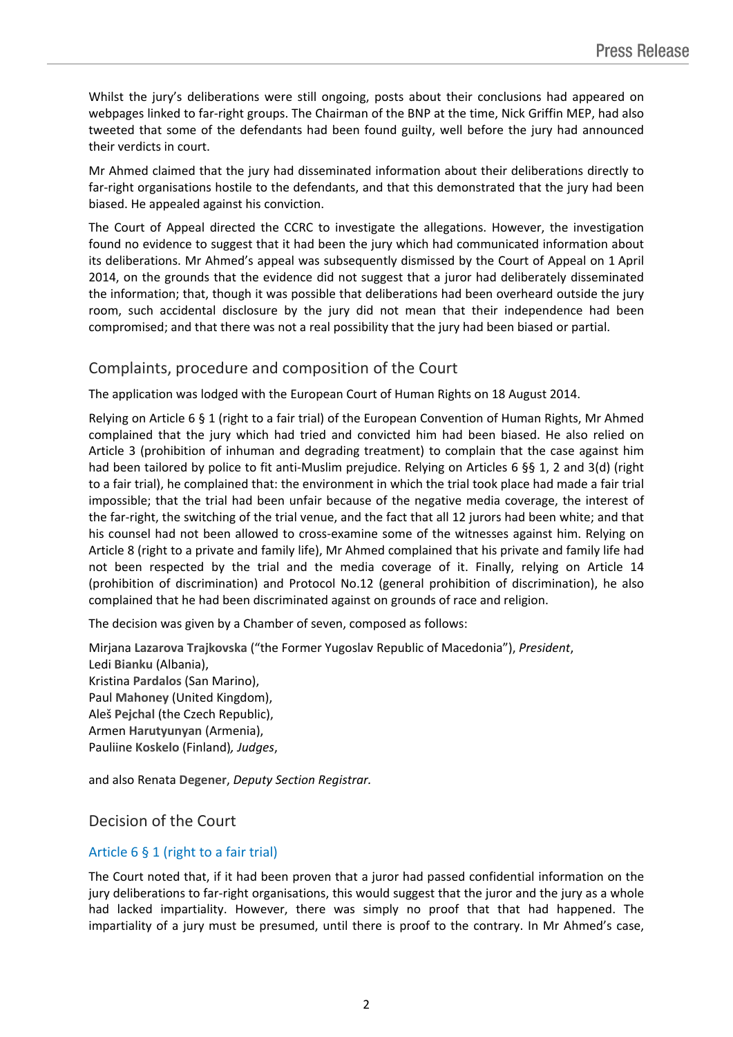Whilst the jury's deliberations were still ongoing, posts about their conclusions had appeared on webpages linked to far-right groups. The Chairman of the BNP at the time, Nick Griffin MEP, had also tweeted that some of the defendants had been found guilty, well before the jury had announced their verdicts in court.

Mr Ahmed claimed that the jury had disseminated information about their deliberations directly to far-right organisations hostile to the defendants, and that this demonstrated that the jury had been biased. He appealed against his conviction.

The Court of Appeal directed the CCRC to investigate the allegations. However, the investigation found no evidence to suggest that it had been the jury which had communicated information about its deliberations. Mr Ahmed's appeal was subsequently dismissed by the Court of Appeal on 1 April 2014, on the grounds that the evidence did not suggest that a juror had deliberately disseminated the information; that, though it was possible that deliberations had been overheard outside the jury room, such accidental disclosure by the jury did not mean that their independence had been compromised; and that there was not a real possibility that the jury had been biased or partial.

## Complaints, procedure and composition of the Court

The application was lodged with the European Court of Human Rights on 18 August 2014.

Relying on Article 6 § 1 (right to a fair trial) of the European Convention of Human Rights, Mr Ahmed complained that the jury which had tried and convicted him had been biased. He also relied on Article 3 (prohibition of inhuman and degrading treatment) to complain that the case against him had been tailored by police to fit anti-Muslim prejudice. Relying on Articles 6 §§ 1, 2 and 3(d) (right to a fair trial), he complained that: the environment in which the trial took place had made a fair trial impossible; that the trial had been unfair because of the negative media coverage, the interest of the far-right, the switching of the trial venue, and the fact that all 12 jurors had been white; and that his counsel had not been allowed to cross-examine some of the witnesses against him. Relying on Article 8 (right to a private and family life), Mr Ahmed complained that his private and family life had not been respected by the trial and the media coverage of it. Finally, relying on Article 14 (prohibition of discrimination) and Protocol No.12 (general prohibition of discrimination), he also complained that he had been discriminated against on grounds of race and religion.

The decision was given by a Chamber of seven, composed as follows:

Mirjana **Lazarova Trajkovska** ("the Former Yugoslav Republic of Macedonia"), *President*, Ledi **Bianku** (Albania), Kristina **Pardalos** (San Marino), Paul **Mahoney** (United Kingdom), Aleš **Pejchal** (the Czech Republic), Armen **Harutyunyan** (Armenia), Pauliine **Koskelo** (Finland)*, Judges*,

and also Renata **Degener**, *Deputy Section Registrar.*

### Decision of the Court

#### Article 6 § 1 (right to a fair trial)

The Court noted that, if it had been proven that a juror had passed confidential information on the jury deliberations to far-right organisations, this would suggest that the juror and the jury as a whole had lacked impartiality. However, there was simply no proof that that had happened. The impartiality of a jury must be presumed, until there is proof to the contrary. In Mr Ahmed's case,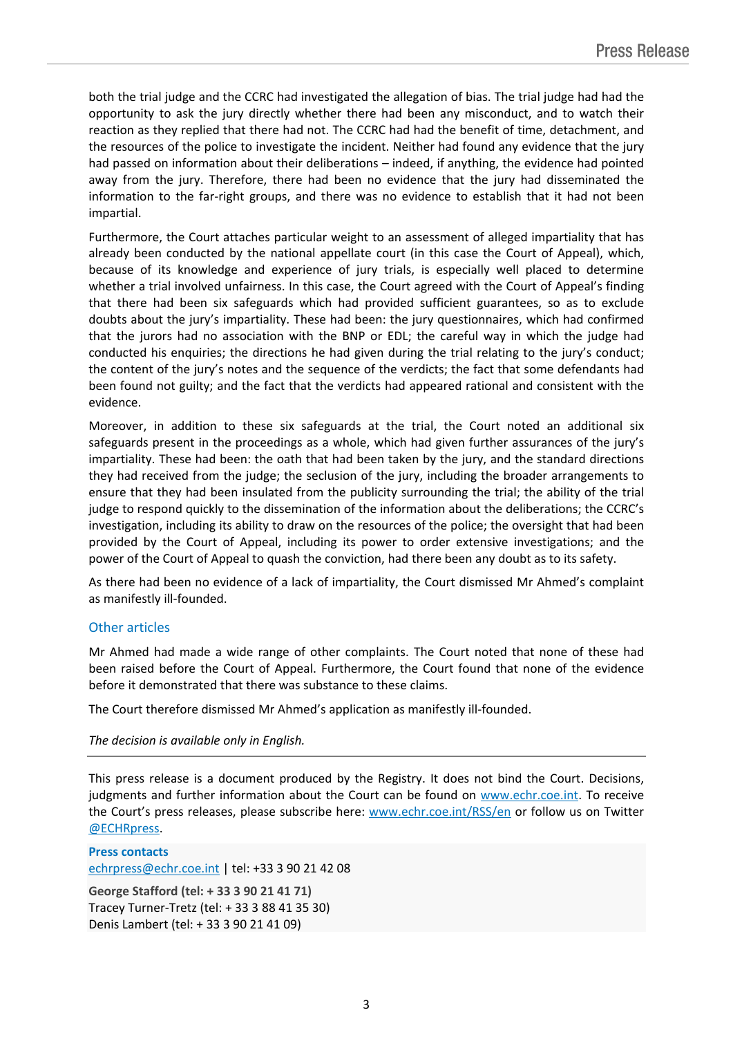both the trial judge and the CCRC had investigated the allegation of bias. The trial judge had had the opportunity to ask the jury directly whether there had been any misconduct, and to watch their reaction as they replied that there had not. The CCRC had had the benefit of time, detachment, and the resources of the police to investigate the incident. Neither had found any evidence that the jury had passed on information about their deliberations – indeed, if anything, the evidence had pointed away from the jury. Therefore, there had been no evidence that the jury had disseminated the information to the far-right groups, and there was no evidence to establish that it had not been impartial.

Furthermore, the Court attaches particular weight to an assessment of alleged impartiality that has already been conducted by the national appellate court (in this case the Court of Appeal), which, because of its knowledge and experience of jury trials, is especially well placed to determine whether a trial involved unfairness. In this case, the Court agreed with the Court of Appeal's finding that there had been six safeguards which had provided sufficient guarantees, so as to exclude doubts about the jury's impartiality. These had been: the jury questionnaires, which had confirmed that the jurors had no association with the BNP or EDL; the careful way in which the judge had conducted his enquiries; the directions he had given during the trial relating to the jury's conduct; the content of the jury's notes and the sequence of the verdicts; the fact that some defendants had been found not guilty; and the fact that the verdicts had appeared rational and consistent with the evidence.

Moreover, in addition to these six safeguards at the trial, the Court noted an additional six safeguards present in the proceedings as a whole, which had given further assurances of the jury's impartiality. These had been: the oath that had been taken by the jury, and the standard directions they had received from the judge; the seclusion of the jury, including the broader arrangements to ensure that they had been insulated from the publicity surrounding the trial; the ability of the trial judge to respond quickly to the dissemination of the information about the deliberations; the CCRC's investigation, including its ability to draw on the resources of the police; the oversight that had been provided by the Court of Appeal, including its power to order extensive investigations; and the power of the Court of Appeal to quash the conviction, had there been any doubt as to its safety.

As there had been no evidence of a lack of impartiality, the Court dismissed Mr Ahmed's complaint as manifestly ill-founded.

#### Other articles

Mr Ahmed had made a wide range of other complaints. The Court noted that none of these had been raised before the Court of Appeal. Furthermore, the Court found that none of the evidence before it demonstrated that there was substance to these claims.

The Court therefore dismissed Mr Ahmed's application as manifestly ill-founded.

#### *The decision is available only in English.*

This press release is a document produced by the Registry. It does not bind the Court. Decisions, judgments and further information about the Court can be found on [www.echr.coe.int](http://www.echr.coe.int/). To receive the Court's press releases, please subscribe here: [www.echr.coe.int/RSS/en](http://www.echr.coe.int/RSS/en) or follow us on Twitter [@ECHRpress.](https://twitter.com/ECHR_Press)

**Press contacts** [echrpress@echr.coe.int](mailto:Echrpress@echr.coe.int) | tel: +33 3 90 21 42 08 **George Stafford (tel: + 33 3 90 21 41 71)**

Tracey Turner-Tretz (tel: + 33 3 88 41 35 30) Denis Lambert (tel: + 33 3 90 21 41 09)